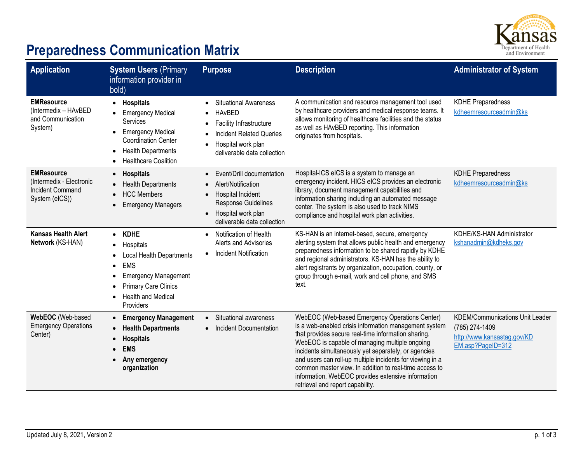

## **Preparedness Communication Matrix**

| <b>Application</b>                                                                         | <b>System Users (Primary</b><br>information provider in<br>(bold                                                                                                                                    | <b>Purpose</b>                                                                                                                                                                          | <b>Description</b>                                                                                                                                                                                                                                                                                                                                                                                                                                                                        | <b>Administrator of System</b>                                                                               |
|--------------------------------------------------------------------------------------------|-----------------------------------------------------------------------------------------------------------------------------------------------------------------------------------------------------|-----------------------------------------------------------------------------------------------------------------------------------------------------------------------------------------|-------------------------------------------------------------------------------------------------------------------------------------------------------------------------------------------------------------------------------------------------------------------------------------------------------------------------------------------------------------------------------------------------------------------------------------------------------------------------------------------|--------------------------------------------------------------------------------------------------------------|
| <b>EMResource</b><br>(Intermedix - HAvBED<br>and Communication<br>System)                  | • Hospitals<br><b>Emergency Medical</b><br>Services<br><b>Emergency Medical</b><br>$\bullet$<br><b>Coordination Center</b><br><b>Health Departments</b><br>$\bullet$<br><b>Healthcare Coalition</b> | <b>Situational Awareness</b><br>$\bullet$<br><b>HAvBED</b><br>Facility Infrastructure<br><b>Incident Related Queries</b><br>Hospital work plan<br>deliverable data collection           | A communication and resource management tool used<br>by healthcare providers and medical response teams. It<br>allows monitoring of healthcare facilities and the status<br>as well as HAvBED reporting. This information<br>originates from hospitals.                                                                                                                                                                                                                                   | <b>KDHE Preparedness</b><br>kdheemresourceadmin@ks                                                           |
| <b>EMResource</b><br>(Intermedix - Electronic<br><b>Incident Command</b><br>System (eICS)) | <b>Hospitals</b><br>$\bullet$<br><b>Health Departments</b><br><b>HCC Members</b><br><b>Emergency Managers</b>                                                                                       | Event/Drill documentation<br>$\bullet$<br>Alert/Notification<br>Hospital Incident<br>$\bullet$<br>Response Guidelines<br>Hospital work plan<br>$\bullet$<br>deliverable data collection | Hospital-ICS eICS is a system to manage an<br>emergency incident. HICS eICS provides an electronic<br>library, document management capabilities and<br>information sharing including an automated message<br>center. The system is also used to track NIMS<br>compliance and hospital work plan activities.                                                                                                                                                                               | <b>KDHE Preparedness</b><br>kdheemresourceadmin@ks                                                           |
| <b>Kansas Health Alert</b><br>Network (KS-HAN)                                             | • KDHE<br>Hospitals<br><b>Local Health Departments</b><br><b>EMS</b><br>$\bullet$<br><b>Emergency Management</b><br><b>Primary Care Clinics</b><br><b>Health and Medical</b><br>Providers           | Notification of Health<br>Alerts and Advisories<br><b>Incident Notification</b>                                                                                                         | KS-HAN is an internet-based, secure, emergency<br>alerting system that allows public health and emergency<br>preparedness information to be shared rapidly by KDHE<br>and regional administrators. KS-HAN has the ability to<br>alert registrants by organization, occupation, county, or<br>group through e-mail, work and cell phone, and SMS<br>text.                                                                                                                                  | KDHE/KS-HAN Administrator<br>kshanadmin@kdheks.gov                                                           |
| WebEOC (Web-based<br><b>Emergency Operations</b><br>Center)                                | <b>Emergency Management</b><br>$\bullet$<br><b>Health Departments</b><br><b>Hospitals</b><br><b>EMS</b><br>Any emergency<br>organization                                                            | Situational awareness<br>$\bullet$<br>Incident Documentation<br>$\bullet$                                                                                                               | WebEOC (Web-based Emergency Operations Center)<br>is a web-enabled crisis information management system<br>that provides secure real-time information sharing.<br>WebEOC is capable of managing multiple ongoing<br>incidents simultaneously yet separately, or agencies<br>and users can roll-up multiple incidents for viewing in a<br>common master view. In addition to real-time access to<br>information, WebEOC provides extensive information<br>retrieval and report capability. | <b>KDEM/Communications Unit Leader</b><br>(785) 274-1409<br>http://www.kansastag.gov/KD<br>EM.asp?PageID=312 |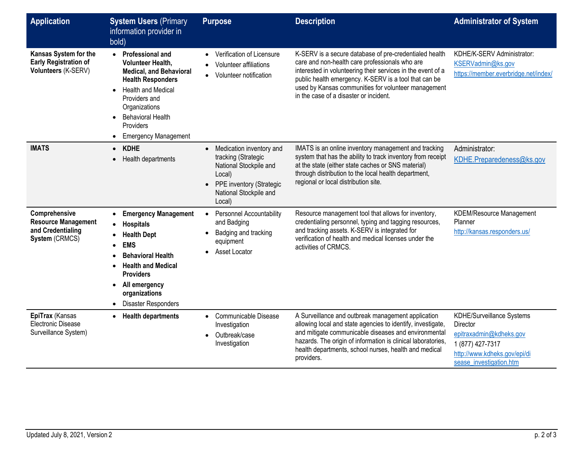| Application                                                                        | <b>System Users (Primary</b><br>information provider in<br>bold)                                                                                                                                                                                                              | <b>Purpose</b>                                                                                                                                                   | <b>Description</b>                                                                                                                                                                                                                                                                                                                | <b>Administrator of System</b>                                                                                                                  |
|------------------------------------------------------------------------------------|-------------------------------------------------------------------------------------------------------------------------------------------------------------------------------------------------------------------------------------------------------------------------------|------------------------------------------------------------------------------------------------------------------------------------------------------------------|-----------------------------------------------------------------------------------------------------------------------------------------------------------------------------------------------------------------------------------------------------------------------------------------------------------------------------------|-------------------------------------------------------------------------------------------------------------------------------------------------|
| Kansas System for the<br><b>Early Registration of</b><br>Volunteers (K-SERV)       | • Professional and<br><b>Volunteer Health,</b><br><b>Medical, and Behavioral</b><br><b>Health Responders</b><br><b>Health and Medical</b><br>$\bullet$<br>Providers and<br>Organizations<br><b>Behavioral Health</b><br>$\bullet$<br>Providers<br><b>Emergency Management</b> | Verification of Licensure<br>$\bullet$<br>Volunteer affiliations<br>$\bullet$<br>Volunteer notification                                                          | K-SERV is a secure database of pre-credentialed health<br>care and non-health care professionals who are<br>interested in volunteering their services in the event of a<br>public health emergency. K-SERV is a tool that can be<br>used by Kansas communities for volunteer management<br>in the case of a disaster or incident. | KDHE/K-SERV Administrator:<br>KSERVadmin@ks.gov<br>https://member.everbridge.net/index/                                                         |
| <b>IMATS</b>                                                                       | <b>KDHE</b><br>$\bullet$<br>Health departments                                                                                                                                                                                                                                | Medication inventory and<br>$\bullet$<br>tracking (Strategic<br>National Stockpile and<br>Local)<br>PPE inventory (Strategic<br>National Stockpile and<br>Local) | IMATS is an online inventory management and tracking<br>system that has the ability to track inventory from receipt<br>at the state (either state caches or SNS material)<br>through distribution to the local health department,<br>regional or local distribution site.                                                         | Administrator:<br>KDHE.Preparedeness@ks.gov                                                                                                     |
| Comprehensive<br><b>Resource Management</b><br>and Credentialing<br>System (CRMCS) | <b>Emergency Management</b><br><b>Hospitals</b><br>$\bullet$<br><b>Health Dept</b><br><b>EMS</b><br><b>Behavioral Health</b><br><b>Health and Medical</b><br><b>Providers</b><br>All emergency<br>$\bullet$<br>organizations<br>Disaster Responders                           | <b>Personnel Accountability</b><br>$\bullet$<br>and Badging<br>Badging and tracking<br>equipment<br>Asset Locator<br>$\bullet$                                   | Resource management tool that allows for inventory,<br>credentialing personnel, typing and tagging resources,<br>and tracking assets. K-SERV is integrated for<br>verification of health and medical licenses under the<br>activities of CRMCS.                                                                                   | <b>KDEM/Resource Management</b><br>Planner<br>http://kansas.responders.us/                                                                      |
| EpiTrax (Kansas<br>Electronic Disease<br>Surveillance System)                      | <b>Health departments</b>                                                                                                                                                                                                                                                     | Communicable Disease<br>Investigation<br>Outbreak/case<br>Investigation                                                                                          | A Surveillance and outbreak management application<br>allowing local and state agencies to identify, investigate,<br>and mitigate communicable diseases and environmental<br>hazards. The origin of information is clinical laboratories,<br>health departments, school nurses, health and medical<br>providers.                  | KDHE/Surveillance Systems<br>Director<br>epitraxadmin@kdheks.gov<br>1 (877) 427-7317<br>http://www.kdheks.gov/epi/di<br>sease_investigation.htm |